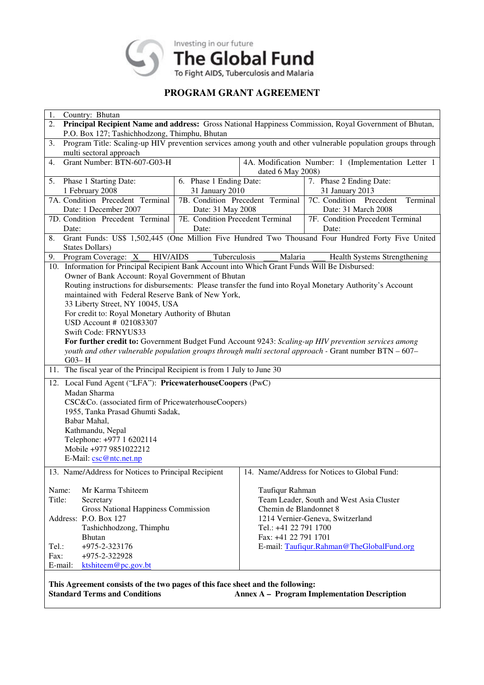

# **PROGRAM GRANT AGREEMENT**

| 1.                                                                                                                 | Country: Bhutan                                     |                                  |                                                     |                                                                                                          |  |  |
|--------------------------------------------------------------------------------------------------------------------|-----------------------------------------------------|----------------------------------|-----------------------------------------------------|----------------------------------------------------------------------------------------------------------|--|--|
| Principal Recipient Name and address: Gross National Happiness Commission, Royal Government of Bhutan,<br>2.       |                                                     |                                  |                                                     |                                                                                                          |  |  |
| P.O. Box 127; Tashichhodzong, Thimphu, Bhutan                                                                      |                                                     |                                  |                                                     |                                                                                                          |  |  |
| Program Title: Scaling-up HIV prevention services among youth and other vulnerable population groups through<br>3. |                                                     |                                  |                                                     |                                                                                                          |  |  |
| multi sectoral approach                                                                                            |                                                     |                                  |                                                     |                                                                                                          |  |  |
| Grant Number: BTN-607-G03-H<br>4.                                                                                  |                                                     |                                  | 4A. Modification Number: 1 (Implementation Letter 1 |                                                                                                          |  |  |
|                                                                                                                    |                                                     |                                  | dated 6 May 2008)                                   |                                                                                                          |  |  |
| 5.                                                                                                                 | Phase 1 Starting Date:                              | 6. Phase 1 Ending Date:          |                                                     | 7. Phase 2 Ending Date:                                                                                  |  |  |
| 1 February 2008                                                                                                    |                                                     | 31 January 2010                  |                                                     | 31 January 2013                                                                                          |  |  |
| 7A. Condition Precedent Terminal                                                                                   |                                                     | 7B. Condition Precedent Terminal |                                                     | 7C. Condition Precedent<br>Terminal                                                                      |  |  |
| Date: 1 December 2007                                                                                              |                                                     | Date: 31 May 2008                |                                                     | Date: 31 March 2008                                                                                      |  |  |
| 7D. Condition Precedent Terminal                                                                                   |                                                     | 7E. Condition Precedent Terminal |                                                     | 7F. Condition Precedent Terminal                                                                         |  |  |
| Date:                                                                                                              |                                                     | Date:                            |                                                     | Date:                                                                                                    |  |  |
| Grant Funds: US\$ 1,502,445 (One Million Five Hundred Two Thousand Four Hundred Forty Five United<br>8.            |                                                     |                                  |                                                     |                                                                                                          |  |  |
| <b>States Dollars</b> )                                                                                            |                                                     |                                  |                                                     |                                                                                                          |  |  |
| <b>HIV/AIDS</b><br>Tuberculosis<br>Health Systems Strengthening<br>Program Coverage: $X$<br>Malaria<br>9.          |                                                     |                                  |                                                     |                                                                                                          |  |  |
| 10. Information for Principal Recipient Bank Account into Which Grant Funds Will Be Disbursed:                     |                                                     |                                  |                                                     |                                                                                                          |  |  |
|                                                                                                                    | Owner of Bank Account: Royal Government of Bhutan   |                                  |                                                     |                                                                                                          |  |  |
|                                                                                                                    |                                                     |                                  |                                                     | Routing instructions for disbursements: Please transfer the fund into Royal Monetary Authority's Account |  |  |
|                                                                                                                    | maintained with Federal Reserve Bank of New York,   |                                  |                                                     |                                                                                                          |  |  |
|                                                                                                                    | 33 Liberty Street, NY 10045, USA                    |                                  |                                                     |                                                                                                          |  |  |
|                                                                                                                    | For credit to: Royal Monetary Authority of Bhutan   |                                  |                                                     |                                                                                                          |  |  |
|                                                                                                                    | USD Account # 021083307                             |                                  |                                                     |                                                                                                          |  |  |
|                                                                                                                    | Swift Code: FRNYUS33                                |                                  |                                                     |                                                                                                          |  |  |
|                                                                                                                    |                                                     |                                  |                                                     | For further credit to: Government Budget Fund Account 9243: Scaling-up HIV prevention services among     |  |  |
|                                                                                                                    |                                                     |                                  |                                                     | youth and other vulnerable population groups through multi sectoral approach - Grant number BTN - 607-   |  |  |
| $G$ 03-H                                                                                                           |                                                     |                                  |                                                     |                                                                                                          |  |  |
| 11. The fiscal year of the Principal Recipient is from 1 July to June 30                                           |                                                     |                                  |                                                     |                                                                                                          |  |  |
| 12. Local Fund Agent ("LFA"): PricewaterhouseCoopers (PwC)                                                         |                                                     |                                  |                                                     |                                                                                                          |  |  |
| Madan Sharma                                                                                                       |                                                     |                                  |                                                     |                                                                                                          |  |  |
|                                                                                                                    | CSC&Co. (associated firm of PricewaterhouseCoopers) |                                  |                                                     |                                                                                                          |  |  |
|                                                                                                                    | 1955, Tanka Prasad Ghumti Sadak,                    |                                  |                                                     |                                                                                                          |  |  |
|                                                                                                                    | Babar Mahal,                                        |                                  |                                                     |                                                                                                          |  |  |
| Kathmandu, Nepal                                                                                                   |                                                     |                                  |                                                     |                                                                                                          |  |  |
|                                                                                                                    | Telephone: +977 1 6202114                           |                                  |                                                     |                                                                                                          |  |  |
| Mobile +977 9851022212                                                                                             |                                                     |                                  |                                                     |                                                                                                          |  |  |
| E-Mail: csc@ntc.net.np                                                                                             |                                                     |                                  |                                                     |                                                                                                          |  |  |
|                                                                                                                    | 13. Name/Address for Notices to Principal Recipient |                                  |                                                     | 14. Name/Address for Notices to Global Fund:                                                             |  |  |
|                                                                                                                    |                                                     |                                  |                                                     |                                                                                                          |  |  |
| Name:                                                                                                              | Mr Karma Tshiteem                                   |                                  | Taufiqur Rahman                                     |                                                                                                          |  |  |
| Title:                                                                                                             | Secretary                                           |                                  |                                                     | Team Leader, South and West Asia Cluster                                                                 |  |  |
|                                                                                                                    | <b>Gross National Happiness Commission</b>          |                                  | Chemin de Blandonnet 8                              |                                                                                                          |  |  |
|                                                                                                                    | Address: P.O. Box 127                               |                                  |                                                     | 1214 Vernier-Geneva, Switzerland                                                                         |  |  |
|                                                                                                                    | Tashichhodzong, Thimphu                             |                                  | Tel.: +41 22 791 1700                               |                                                                                                          |  |  |
|                                                                                                                    | <b>Bhutan</b>                                       |                                  | Fax: +41 22 791 1701                                |                                                                                                          |  |  |
| Tel.:                                                                                                              | $+975 - 2 - 323176$                                 |                                  |                                                     | E-mail: Taufiqur.Rahman@TheGlobalFund.org                                                                |  |  |
| Fax:                                                                                                               | +975-2-322928                                       |                                  |                                                     |                                                                                                          |  |  |
| E-mail:                                                                                                            | ktshiteem@pc.gov.bt                                 |                                  |                                                     |                                                                                                          |  |  |
|                                                                                                                    |                                                     |                                  |                                                     |                                                                                                          |  |  |
| This Agreement consists of the two pages of this face sheet and the following:                                     |                                                     |                                  |                                                     |                                                                                                          |  |  |
| <b>Standard Terms and Conditions</b><br><b>Annex A - Program Implementation Description</b>                        |                                                     |                                  |                                                     |                                                                                                          |  |  |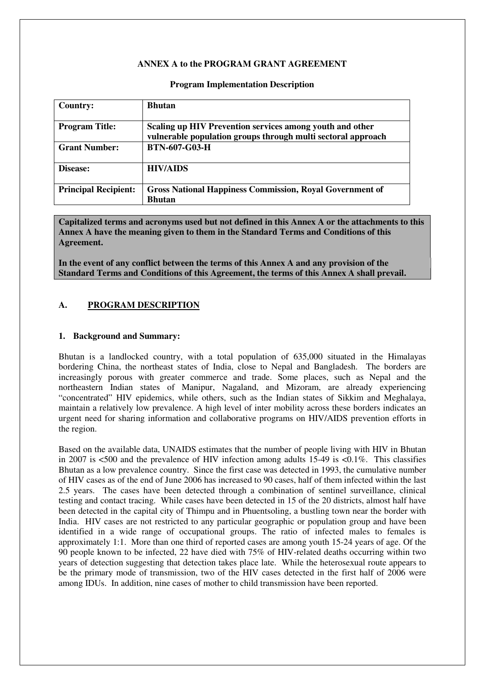#### **ANNEX A to the PROGRAM GRANT AGREEMENT**

| <b>Country:</b>             | <b>Bhutan</b>                                                                                                            |
|-----------------------------|--------------------------------------------------------------------------------------------------------------------------|
| <b>Program Title:</b>       | Scaling up HIV Prevention services among youth and other<br>vulnerable population groups through multi sectoral approach |
| <b>Grant Number:</b>        | <b>BTN-607-G03-H</b>                                                                                                     |
| Disease:                    | <b>HIV/AIDS</b>                                                                                                          |
| <b>Principal Recipient:</b> | <b>Gross National Happiness Commission, Royal Government of</b><br><b>Bhutan</b>                                         |

#### **Program Implementation Description**

**Capitalized terms and acronyms used but not defined in this Annex A or the attachments to this Annex A have the meaning given to them in the Standard Terms and Conditions of this Agreement.** 

**In the event of any conflict between the terms of this Annex A and any provision of the Standard Terms and Conditions of this Agreement, the terms of this Annex A shall prevail.** 

#### **A. PROGRAM DESCRIPTION**

#### **1. Background and Summary:**

Bhutan is a landlocked country, with a total population of 635,000 situated in the Himalayas bordering China, the northeast states of India, close to Nepal and Bangladesh. The borders are increasingly porous with greater commerce and trade. Some places, such as Nepal and the northeastern Indian states of Manipur, Nagaland, and Mizoram, are already experiencing "concentrated" HIV epidemics, while others, such as the Indian states of Sikkim and Meghalaya, maintain a relatively low prevalence. A high level of inter mobility across these borders indicates an urgent need for sharing information and collaborative programs on HIV/AIDS prevention efforts in the region.

Based on the available data, UNAIDS estimates that the number of people living with HIV in Bhutan in 2007 is  $\leq 500$  and the prevalence of HIV infection among adults 15-49 is  $\leq 0.1\%$ . This classifies Bhutan as a low prevalence country. Since the first case was detected in 1993, the cumulative number of HIV cases as of the end of June 2006 has increased to 90 cases, half of them infected within the last 2.5 years. The cases have been detected through a combination of sentinel surveillance, clinical testing and contact tracing. While cases have been detected in 15 of the 20 districts, almost half have been detected in the capital city of Thimpu and in Phuentsoling, a bustling town near the border with India. HIV cases are not restricted to any particular geographic or population group and have been identified in a wide range of occupational groups. The ratio of infected males to females is approximately 1:1. More than one third of reported cases are among youth 15-24 years of age. Of the 90 people known to be infected, 22 have died with 75% of HIV-related deaths occurring within two years of detection suggesting that detection takes place late. While the heterosexual route appears to be the primary mode of transmission, two of the HIV cases detected in the first half of 2006 were among IDUs. In addition, nine cases of mother to child transmission have been reported.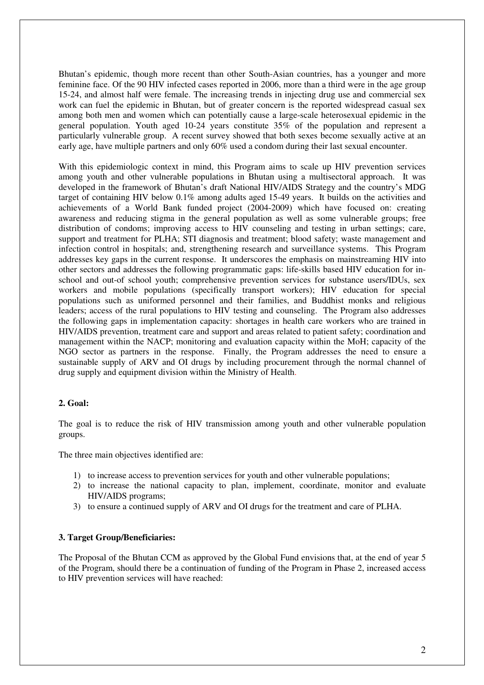Bhutan's epidemic, though more recent than other South-Asian countries, has a younger and more feminine face. Of the 90 HIV infected cases reported in 2006, more than a third were in the age group 15-24, and almost half were female. The increasing trends in injecting drug use and commercial sex work can fuel the epidemic in Bhutan, but of greater concern is the reported widespread casual sex among both men and women which can potentially cause a large-scale heterosexual epidemic in the general population. Youth aged 10-24 years constitute 35% of the population and represent a particularly vulnerable group. A recent survey showed that both sexes become sexually active at an early age, have multiple partners and only 60% used a condom during their last sexual encounter.

With this epidemiologic context in mind, this Program aims to scale up HIV prevention services among youth and other vulnerable populations in Bhutan using a multisectoral approach. It was developed in the framework of Bhutan's draft National HIV/AIDS Strategy and the country's MDG target of containing HIV below 0.1% among adults aged 15-49 years. It builds on the activities and achievements of a World Bank funded project (2004-2009) which have focused on: creating awareness and reducing stigma in the general population as well as some vulnerable groups; free distribution of condoms; improving access to HIV counseling and testing in urban settings; care, support and treatment for PLHA; STI diagnosis and treatment; blood safety; waste management and infection control in hospitals; and, strengthening research and surveillance systems. This Program addresses key gaps in the current response. It underscores the emphasis on mainstreaming HIV into other sectors and addresses the following programmatic gaps: life-skills based HIV education for inschool and out-of school youth; comprehensive prevention services for substance users/IDUs, sex workers and mobile populations (specifically transport workers); HIV education for special populations such as uniformed personnel and their families, and Buddhist monks and religious leaders; access of the rural populations to HIV testing and counseling. The Program also addresses the following gaps in implementation capacity: shortages in health care workers who are trained in HIV/AIDS prevention, treatment care and support and areas related to patient safety; coordination and management within the NACP; monitoring and evaluation capacity within the MoH; capacity of the NGO sector as partners in the response. Finally, the Program addresses the need to ensure a sustainable supply of ARV and OI drugs by including procurement through the normal channel of drug supply and equipment division within the Ministry of Health.

#### **2. Goal:**

The goal is to reduce the risk of HIV transmission among youth and other vulnerable population groups.

The three main objectives identified are:

- 1) to increase access to prevention services for youth and other vulnerable populations;
- 2) to increase the national capacity to plan, implement, coordinate, monitor and evaluate HIV/AIDS programs;
- 3) to ensure a continued supply of ARV and OI drugs for the treatment and care of PLHA.

#### **3. Target Group/Beneficiaries:**

The Proposal of the Bhutan CCM as approved by the Global Fund envisions that, at the end of year 5 of the Program, should there be a continuation of funding of the Program in Phase 2, increased access to HIV prevention services will have reached: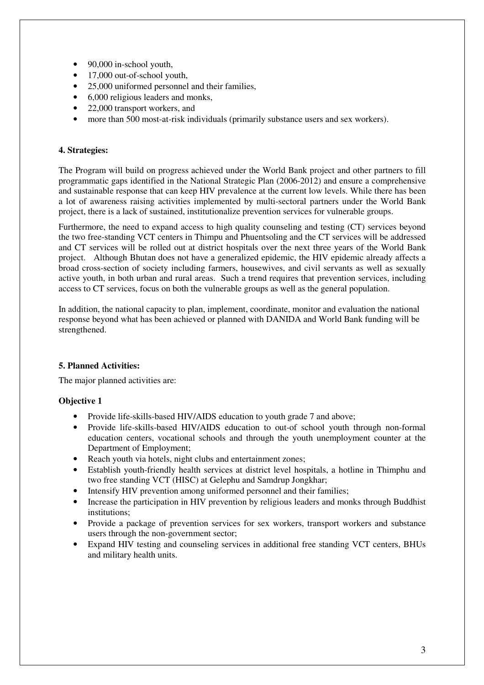- 90,000 in-school youth,
- 17,000 out-of-school youth,
- 25,000 uniformed personnel and their families,
- 6,000 religious leaders and monks,
- 22,000 transport workers, and
- more than 500 most-at-risk individuals (primarily substance users and sex workers).

### **4. Strategies:**

The Program will build on progress achieved under the World Bank project and other partners to fill programmatic gaps identified in the National Strategic Plan (2006-2012) and ensure a comprehensive and sustainable response that can keep HIV prevalence at the current low levels. While there has been a lot of awareness raising activities implemented by multi-sectoral partners under the World Bank project, there is a lack of sustained, institutionalize prevention services for vulnerable groups.

Furthermore, the need to expand access to high quality counseling and testing (CT) services beyond the two free-standing VCT centers in Thimpu and Phuentsoling and the CT services will be addressed and CT services will be rolled out at district hospitals over the next three years of the World Bank project. Although Bhutan does not have a generalized epidemic, the HIV epidemic already affects a broad cross-section of society including farmers, housewives, and civil servants as well as sexually active youth, in both urban and rural areas. Such a trend requires that prevention services, including access to CT services, focus on both the vulnerable groups as well as the general population.

In addition, the national capacity to plan, implement, coordinate, monitor and evaluation the national response beyond what has been achieved or planned with DANIDA and World Bank funding will be strengthened.

### **5. Planned Activities:**

The major planned activities are:

### **Objective 1**

- Provide life-skills-based HIV/AIDS education to youth grade 7 and above;
- Provide life-skills-based HIV/AIDS education to out-of school youth through non-formal education centers, vocational schools and through the youth unemployment counter at the Department of Employment;
- Reach youth via hotels, night clubs and entertainment zones;
- Establish youth-friendly health services at district level hospitals, a hotline in Thimphu and two free standing VCT (HISC) at Gelephu and Samdrup Jongkhar;
- Intensify HIV prevention among uniformed personnel and their families;
- Increase the participation in HIV prevention by religious leaders and monks through Buddhist institutions;
- Provide a package of prevention services for sex workers, transport workers and substance users through the non-government sector;
- Expand HIV testing and counseling services in additional free standing VCT centers, BHUs and military health units.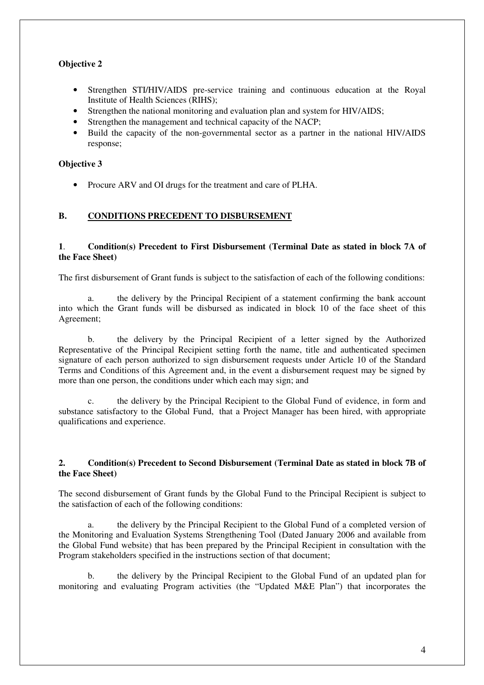# **Objective 2**

- Strengthen STI/HIV/AIDS pre-service training and continuous education at the Royal Institute of Health Sciences (RIHS);
- Strengthen the national monitoring and evaluation plan and system for HIV/AIDS;
- Strengthen the management and technical capacity of the NACP;
- Build the capacity of the non-governmental sector as a partner in the national HIV/AIDS response;

### **Objective 3**

• Procure ARV and OI drugs for the treatment and care of PLHA.

# **B. CONDITIONS PRECEDENT TO DISBURSEMENT**

### **1**. **Condition(s) Precedent to First Disbursement (Terminal Date as stated in block 7A of the Face Sheet)**

The first disbursement of Grant funds is subject to the satisfaction of each of the following conditions:

a. the delivery by the Principal Recipient of a statement confirming the bank account into which the Grant funds will be disbursed as indicated in block 10 of the face sheet of this Agreement;

b. the delivery by the Principal Recipient of a letter signed by the Authorized Representative of the Principal Recipient setting forth the name, title and authenticated specimen signature of each person authorized to sign disbursement requests under Article 10 of the Standard Terms and Conditions of this Agreement and, in the event a disbursement request may be signed by more than one person, the conditions under which each may sign; and

c. the delivery by the Principal Recipient to the Global Fund of evidence, in form and substance satisfactory to the Global Fund, that a Project Manager has been hired, with appropriate qualifications and experience.

#### **2. Condition(s) Precedent to Second Disbursement (Terminal Date as stated in block 7B of the Face Sheet)**

The second disbursement of Grant funds by the Global Fund to the Principal Recipient is subject to the satisfaction of each of the following conditions:

a. the delivery by the Principal Recipient to the Global Fund of a completed version of the Monitoring and Evaluation Systems Strengthening Tool (Dated January 2006 and available from the Global Fund website) that has been prepared by the Principal Recipient in consultation with the Program stakeholders specified in the instructions section of that document;

b. the delivery by the Principal Recipient to the Global Fund of an updated plan for monitoring and evaluating Program activities (the "Updated M&E Plan") that incorporates the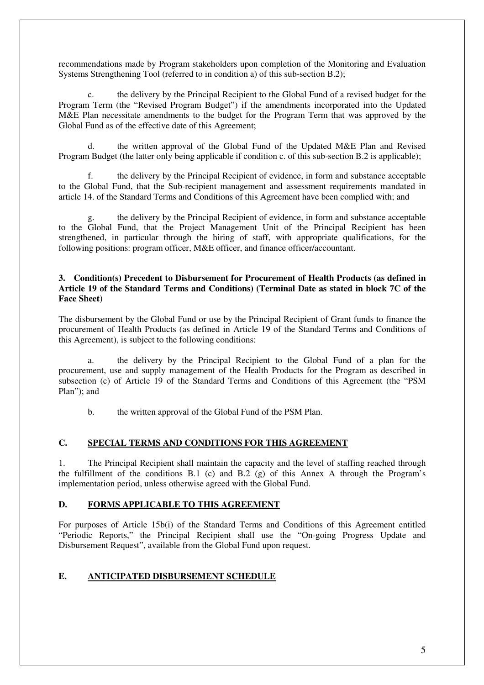recommendations made by Program stakeholders upon completion of the Monitoring and Evaluation Systems Strengthening Tool (referred to in condition a) of this sub-section B.2);

c. the delivery by the Principal Recipient to the Global Fund of a revised budget for the Program Term (the "Revised Program Budget") if the amendments incorporated into the Updated M&E Plan necessitate amendments to the budget for the Program Term that was approved by the Global Fund as of the effective date of this Agreement;

d. the written approval of the Global Fund of the Updated M&E Plan and Revised Program Budget (the latter only being applicable if condition c. of this sub-section B.2 is applicable);

f. the delivery by the Principal Recipient of evidence, in form and substance acceptable to the Global Fund, that the Sub-recipient management and assessment requirements mandated in article 14. of the Standard Terms and Conditions of this Agreement have been complied with; and

the delivery by the Principal Recipient of evidence, in form and substance acceptable to the Global Fund, that the Project Management Unit of the Principal Recipient has been strengthened, in particular through the hiring of staff, with appropriate qualifications, for the following positions: program officer, M&E officer, and finance officer/accountant.

#### **3. Condition(s) Precedent to Disbursement for Procurement of Health Products (as defined in Article 19 of the Standard Terms and Conditions) (Terminal Date as stated in block 7C of the Face Sheet)**

The disbursement by the Global Fund or use by the Principal Recipient of Grant funds to finance the procurement of Health Products (as defined in Article 19 of the Standard Terms and Conditions of this Agreement), is subject to the following conditions:

a. the delivery by the Principal Recipient to the Global Fund of a plan for the procurement, use and supply management of the Health Products for the Program as described in subsection (c) of Article 19 of the Standard Terms and Conditions of this Agreement (the "PSM Plan"); and

b. the written approval of the Global Fund of the PSM Plan.

# **C. SPECIAL TERMS AND CONDITIONS FOR THIS AGREEMENT**

1. The Principal Recipient shall maintain the capacity and the level of staffing reached through the fulfillment of the conditions B.1 (c) and B.2 (g) of this Annex A through the Program's implementation period, unless otherwise agreed with the Global Fund.

#### **D. FORMS APPLICABLE TO THIS AGREEMENT**

For purposes of Article 15b(i) of the Standard Terms and Conditions of this Agreement entitled "Periodic Reports," the Principal Recipient shall use the "On-going Progress Update and Disbursement Request", available from the Global Fund upon request.

# **E. ANTICIPATED DISBURSEMENT SCHEDULE**